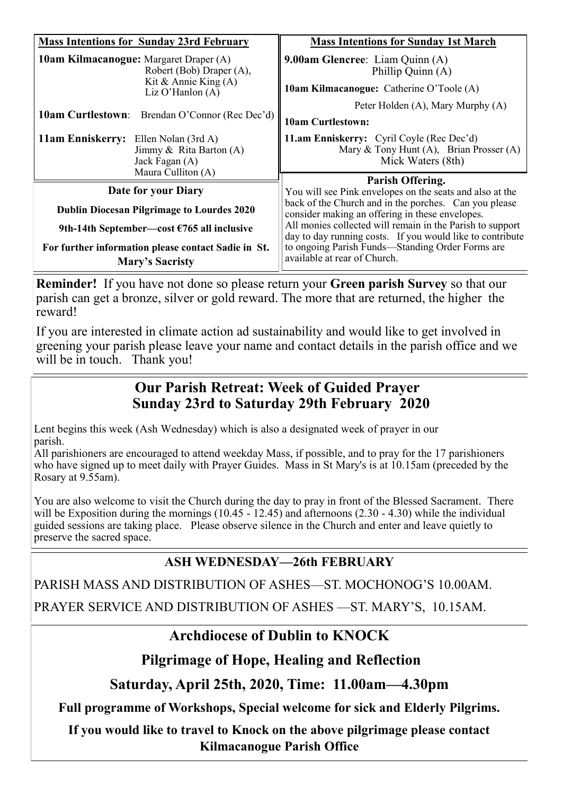| <b>Mass Intentions for Sunday 23rd February</b>                                                           | <b>Mass Intentions for Sunday 1st March</b>                                                                            |
|-----------------------------------------------------------------------------------------------------------|------------------------------------------------------------------------------------------------------------------------|
| <b>10am Kilmacanogue:</b> Margaret Draper (A)<br>Robert (Bob) Draper (A),<br>Kit & Annie King $(A)$       | 9.00am Glencree: Liam Quinn (A)<br>Phillip Quinn (A)                                                                   |
| Liz O'Hanlon $(A)$<br><b>10am Curtlestown:</b><br>Brendan O'Connor (Rec Dec'd)                            | 10am Kilmacanogue: Catherine O'Toole (A)<br>Peter Holden (A), Mary Murphy (A)                                          |
|                                                                                                           | <b>10am Curtlestown:</b>                                                                                               |
| 11am Enniskerry: Ellen Nolan (3rd A)<br>Jimmy & Rita Barton $(A)$<br>Jack Fagan (A)<br>Maura Culliton (A) | 11.am Enniskerry: Cyril Coyle (Rec Dec'd)<br>Mary & Tony Hunt $(A)$ , Brian Prosser $(A)$<br>Mick Waters (8th)         |
| Date for your Diary                                                                                       | Parish Offering.                                                                                                       |
|                                                                                                           | You will see Pink envelopes on the seats and also at the<br>back of the Church and in the porches. Can you please      |
| <b>Dublin Diocesan Pilgrimage to Lourdes 2020</b>                                                         | consider making an offering in these envelopes.                                                                        |
| 9th-14th September—cost $\epsilon$ 765 all inclusive                                                      | All monies collected will remain in the Parish to support<br>day to day running costs. If you would like to contribute |
| For further information please contact Sadie in St.<br><b>Mary's Sacristy</b>                             | to ongoing Parish Funds-Standing Order Forms are<br>available at rear of Church.                                       |

**Reminder!** If you have not done so please return your **Green parish Survey** so that our parish can get a bronze, silver or gold reward. The more that are returned, the higher the reward!

If you are interested in climate action ad sustainability and would like to get involved in greening your parish please leave your name and contact details in the parish office and we will be in touch. Thank you!

# **Our Parish Retreat: Week of Guided Prayer Sunday 23rd to Saturday 29th February 2020**

Lent begins this week (Ash Wednesday) which is also a designated week of prayer in our parish.

All parishioners are encouraged to attend weekday Mass, if possible, and to pray for the 17 parishioners who have signed up to meet daily with Prayer Guides. Mass in St Mary's is at 10.15am (preceded by the Rosary at 9.55am).

You are also welcome to visit the Church during the day to pray in front of the Blessed Sacrament. There will be Exposition during the mornings  $(10.45 - 12.45)$  and afternoons  $(2.30 - 4.30)$  while the individual guided sessions are taking place. Please observe silence in the Church and enter and leave quietly to preserve the sacred space.

# **ASH WEDNESDAY—26th FEBRUARY**

PARISH MASS AND DISTRIBUTION OF ASHES—ST. MOCHONOG'S 10.00AM.

PRAYER SERVICE AND DISTRIBUTION OF ASHES —ST. MARY'S, 10.15AM.

# **Archdiocese of Dublin to KNOCK**

## **Pilgrimage of Hope, Healing and Reflection**

**Saturday, April 25th, 2020, Time: 11.00am—4.30pm**

**Full programme of Workshops, Special welcome for sick and Elderly Pilgrims.**

**If you would like to travel to Knock on the above pilgrimage please contact Kilmacanogue Parish Office**